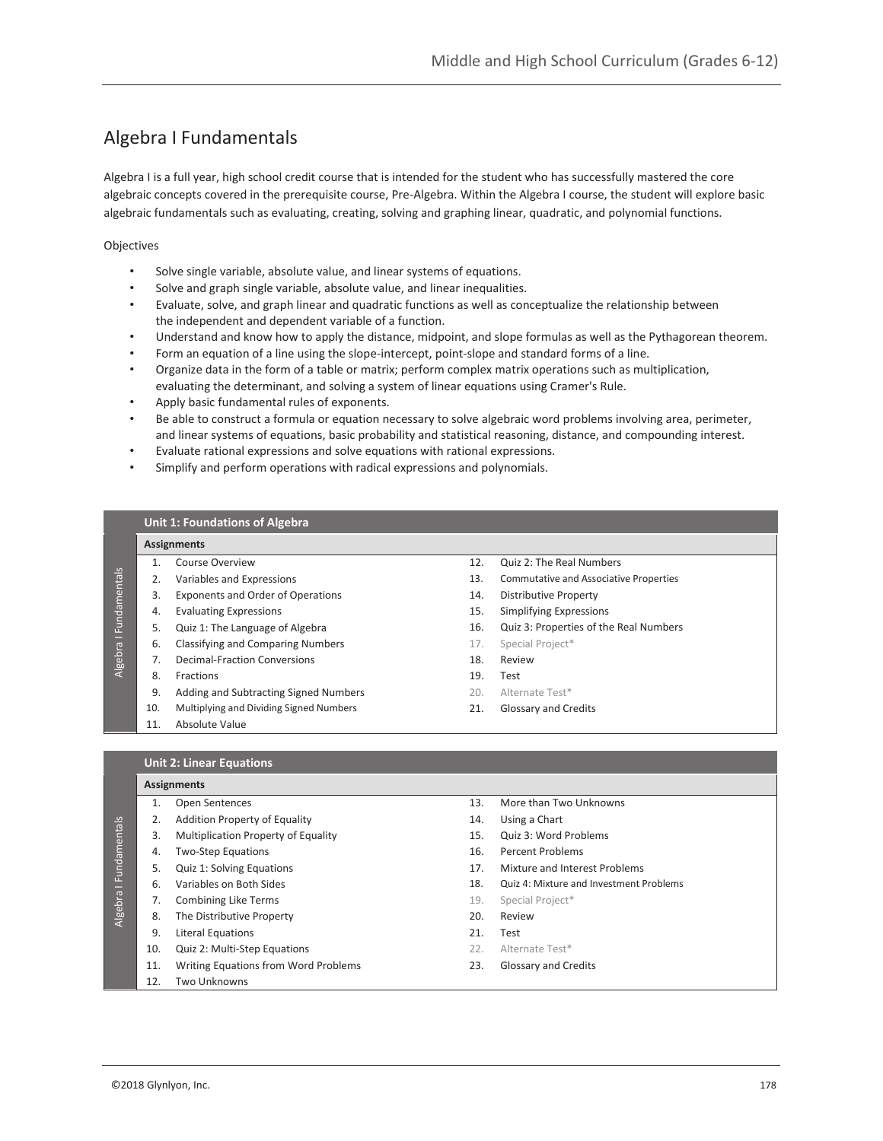## Algebra I Fundamentals

Algebra I is a full year, high school credit course that is intended for the student who has successfully mastered the core algebraic concepts covered in the prerequisite course, Pre-Algebra. Within the Algebra I course, the student will explore basic algebraic fundamentals such as evaluating, creating, solving and graphing linear, quadratic, and polynomial functions.

Objectives

- Solve single variable, absolute value, and linear systems of equations.
- Solve and graph single variable, absolute value, and linear inequalities.
- Evaluate, solve, and graph linear and quadratic functions as well as conceptualize the relationship between the independent and dependent variable of a function.
- Understand and know how to apply the distance, midpoint, and slope formulas as well as the Pythagorean theorem.
- Form an equation of a line using the slope-intercept, point-slope and standard forms of a line.
- Organize data in the form of a table or matrix; perform complex matrix operations such as multiplication, evaluating the determinant, and solving a system of linear equations using Cramer's Rule.
- Apply basic fundamental rules of exponents.
- Be able to construct a formula or equation necessary to solve algebraic word problems involving area, perimeter, and linear systems of equations, basic probability and statistical reasoning, distance, and compounding interest.
- Evaluate rational expressions and solve equations with rational expressions.
- Simplify and perform operations with radical expressions and polynomials.

### **Unit 1: Foundations of Algebra**

### **Assignments**

- 1. Course Overview
- 2. Variables and Expressions
- 3. Exponents and Order of Operations
- 4. Evaluating Expressions
- 5. Quiz 1: The Language of Algebra
- 6. Classifying and Comparing Numbers
- 7. Decimal-Fraction Conversions
- 8. Fractions

Algebra I Fundamentals

Algebra I Fundamentals

- 9. Adding and Subtracting Signed Numbers
- 10. Multiplying and Dividing Signed Numbers
- 11. Absolute Value
- 12. Quiz 2: The Real Numbers
- 13. Commutative and Associative Properties
- 14. Distributive Property
- 15. Simplifying Expressions
- 16. Quiz 3: Properties of the Real Numbers
- 17. Special Project\*
- 18. Review
- 19. Test
- 20. Alternate Test\*
- 21. Glossary and Credits

#### **Unit 2: Linear Equations**

|              | <b>Assignments</b> |                                      |     |                                                |  |  |  |
|--------------|--------------------|--------------------------------------|-----|------------------------------------------------|--|--|--|
|              |                    | <b>Open Sentences</b>                | 13. | More than Two Unknowns                         |  |  |  |
|              | 2.                 | Addition Property of Equality        | 14. | Using a Chart                                  |  |  |  |
|              | 3.                 | Multiplication Property of Equality  | 15. | Quiz 3: Word Problems                          |  |  |  |
|              | 4.                 | <b>Two-Step Equations</b>            | 16. | Percent Problems                               |  |  |  |
| Fundamentals | 5.                 | Quiz 1: Solving Equations            | 17. | Mixture and Interest Problems                  |  |  |  |
| -<br>Algebra | 6.                 | Variables on Both Sides              | 18. | <b>Quiz 4: Mixture and Investment Problems</b> |  |  |  |
|              | 7.                 | <b>Combining Like Terms</b>          | 19. | Special Project*                               |  |  |  |
|              | 8.                 | The Distributive Property            | 20. | Review                                         |  |  |  |
|              | 9.                 | <b>Literal Equations</b>             | 21. | Test                                           |  |  |  |
|              | 10.                | Quiz 2: Multi-Step Equations         | 22. | Alternate Test*                                |  |  |  |
|              | 11.                | Writing Equations from Word Problems | 23. | <b>Glossary and Credits</b>                    |  |  |  |
|              | 12.                | <b>Two Unknowns</b>                  |     |                                                |  |  |  |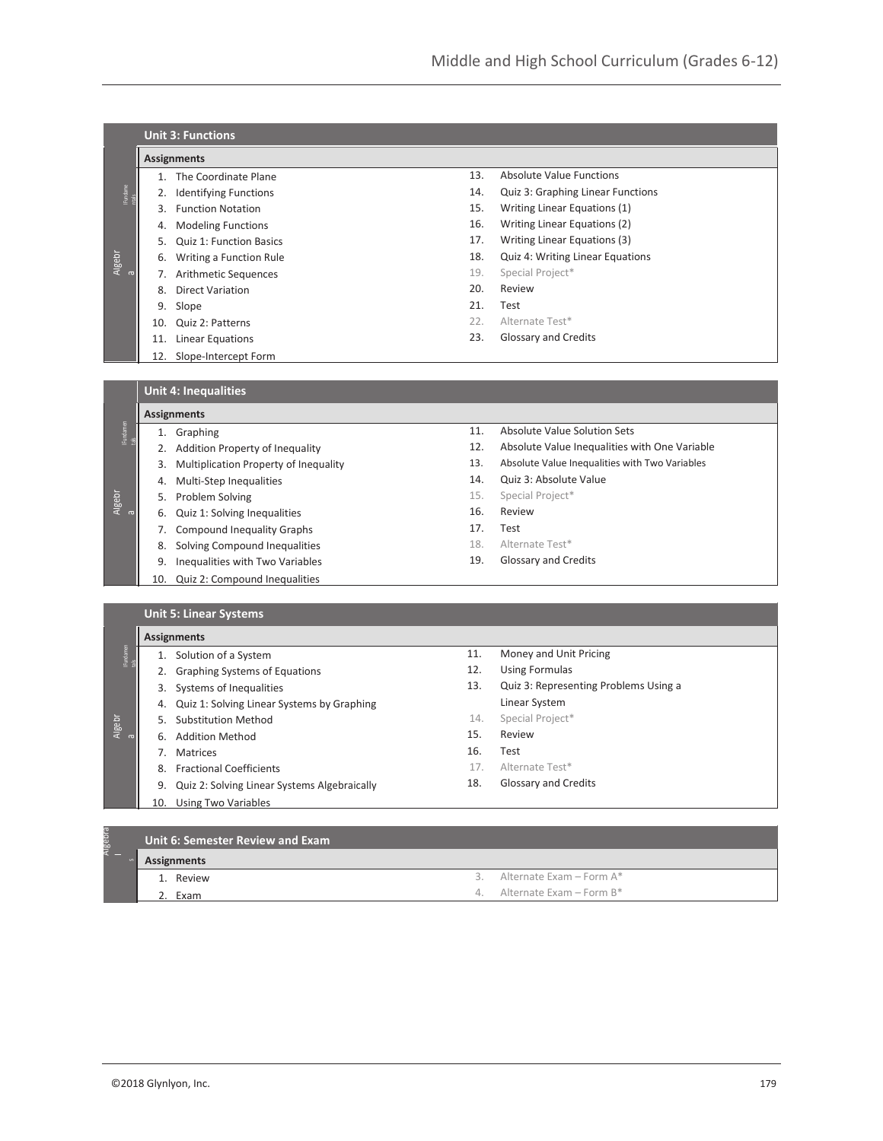|                  | <b>Unit 3: Functions</b> |                                |     |                                         |  |  |  |  |  |
|------------------|--------------------------|--------------------------------|-----|-----------------------------------------|--|--|--|--|--|
|                  |                          | <b>Assignments</b>             |     |                                         |  |  |  |  |  |
|                  |                          | The Coordinate Plane           | 13. | Absolute Value Functions                |  |  |  |  |  |
| lFundame<br>ntak |                          | <b>Identifying Functions</b>   | 14. | Quiz 3: Graphing Linear Functions       |  |  |  |  |  |
|                  |                          | <b>Function Notation</b>       | 15. | Writing Linear Equations (1)            |  |  |  |  |  |
|                  | 4.                       | <b>Modeling Functions</b>      | 16. | Writing Linear Equations (2)            |  |  |  |  |  |
|                  | 5.                       | <b>Quiz 1: Function Basics</b> | 17. | Writing Linear Equations (3)            |  |  |  |  |  |
| Algebr<br>a      | 6.                       | Writing a Function Rule        | 18. | <b>Quiz 4: Writing Linear Equations</b> |  |  |  |  |  |
|                  |                          | <b>Arithmetic Sequences</b>    | 19. | Special Project*                        |  |  |  |  |  |
|                  | 8.                       | <b>Direct Variation</b>        | 20. | Review                                  |  |  |  |  |  |
|                  | 9.                       | Slope                          | 21. | Test                                    |  |  |  |  |  |
|                  | 10.                      | Quiz 2: Patterns               | 22. | Alternate Test*                         |  |  |  |  |  |
|                  | 11.                      | Linear Equations               | 23. | Glossary and Credits                    |  |  |  |  |  |
|                  | 12.                      | Slope-Intercept Form           |     |                                         |  |  |  |  |  |

**Unit 4: Inequalities**

| iFundamen<br>tals |     | Graphing                              | 11. | Absolute Value Solution Sets                   |
|-------------------|-----|---------------------------------------|-----|------------------------------------------------|
|                   |     | Addition Property of Inequality       | 12. | Absolute Value Inequalities with One Variable  |
|                   | 3.  | Multiplication Property of Inequality | 13. | Absolute Value Inequalities with Two Variables |
|                   | 4.  | Multi-Step Inequalities               | 14. | Quiz 3: Absolute Value                         |
| Algebr            | 5.  | Problem Solving                       | 15. | Special Project*                               |
| $\sigma$          | 6.  | Quiz 1: Solving Inequalities          | 16. | Review                                         |
|                   |     | <b>Compound Inequality Graphs</b>     | 17. | Test                                           |
|                   | 8.  | Solving Compound Inequalities         | 18. | Alternate Test*                                |
|                   | 9.  | Inequalities with Two Variables       | 19. | Glossary and Credits                           |
|                   | 10. | Quiz 2: Compound Inequalities         |     |                                                |

|                   |                    | <b>Unit 5: Linear Systems</b>                |     |                                       |  |  |  |  |  |
|-------------------|--------------------|----------------------------------------------|-----|---------------------------------------|--|--|--|--|--|
|                   | <b>Assignments</b> |                                              |     |                                       |  |  |  |  |  |
| lFundamen<br>tals |                    | Solution of a System                         | 11. | Money and Unit Pricing                |  |  |  |  |  |
|                   |                    | <b>Graphing Systems of Equations</b>         | 12. | <b>Using Formulas</b>                 |  |  |  |  |  |
|                   | 3.                 | Systems of Inequalities                      | 13. | Quiz 3: Representing Problems Using a |  |  |  |  |  |
|                   | 4.                 | Quiz 1: Solving Linear Systems by Graphing   |     | Linear System                         |  |  |  |  |  |
| Algebr            |                    | Substitution Method                          | 14. | Special Project*                      |  |  |  |  |  |
| $\sigma$          | 6.                 | <b>Addition Method</b>                       | 15. | Review                                |  |  |  |  |  |
|                   |                    | <b>Matrices</b>                              | 16. | Test                                  |  |  |  |  |  |
|                   | 8.                 | <b>Fractional Coefficients</b>               | 17. | Alternate Test*                       |  |  |  |  |  |
|                   | 9.                 | Quiz 2: Solving Linear Systems Algebraically | 18. | <b>Glossary and Credits</b>           |  |  |  |  |  |
|                   | 10.                | <b>Using Two Variables</b>                   |     |                                       |  |  |  |  |  |

| 10 <sup>1</sup><br>Algebi<br>M | Unit 6: Semester Review and Exam |                                |  |  |  |  |  |
|--------------------------------|----------------------------------|--------------------------------|--|--|--|--|--|
|                                | Assignments                      |                                |  |  |  |  |  |
|                                | 1. Review                        | Alternate Exam – Form A*<br>-3 |  |  |  |  |  |
|                                | Exam                             | 4. Alternate Exam - Form $B^*$ |  |  |  |  |  |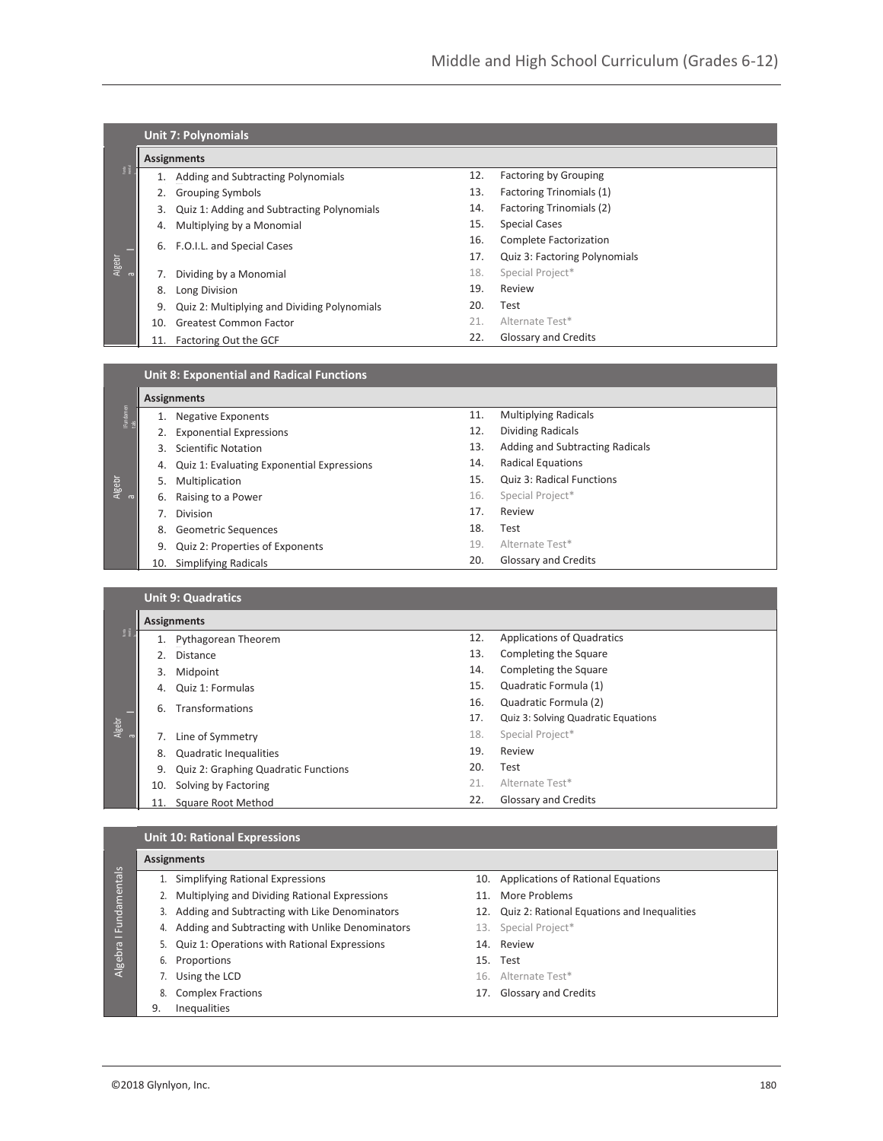|               |     | <b>Unit 7: Polynomials</b>                       |     |                               |  |  |  |  |
|---------------|-----|--------------------------------------------------|-----|-------------------------------|--|--|--|--|
|               |     | <b>Assignments</b>                               |     |                               |  |  |  |  |
| $\frac{a}{2}$ |     | Adding and Subtracting Polynomials               | 12. | <b>Factoring by Grouping</b>  |  |  |  |  |
|               |     | <b>Grouping Symbols</b>                          | 13. | Factoring Trinomials (1)      |  |  |  |  |
|               | 3.  | Quiz 1: Adding and Subtracting Polynomials       | 14. | Factoring Trinomials (2)      |  |  |  |  |
|               | 4.  | Multiplying by a Monomial                        | 15. | <b>Special Cases</b>          |  |  |  |  |
|               | 6.  | F.O.I.L. and Special Cases                       | 16. | Complete Factorization        |  |  |  |  |
|               |     |                                                  | 17. | Quiz 3: Factoring Polynomials |  |  |  |  |
| Algebr<br>a   | 7.  | Dividing by a Monomial                           | 18. | Special Project*              |  |  |  |  |
|               | 8.  | Long Division                                    | 19. | Review                        |  |  |  |  |
|               | 9.  | Quiz 2: Multiplying and Dividing Polynomials     | 20. | Test                          |  |  |  |  |
|               | 10. | <b>Greatest Common Factor</b>                    | 21. | Alternate Test*               |  |  |  |  |
|               | 11. | Factoring Out the GCF                            | 22. | Glossary and Credits          |  |  |  |  |
|               |     |                                                  |     |                               |  |  |  |  |
|               |     | <b>Unit 8: Exponential and Radical Functions</b> |     |                               |  |  |  |  |
|               |     | <b>Assignments</b>                               |     |                               |  |  |  |  |
|               |     | <b>Negative Exponents</b>                        | 11. | <b>Multiplying Radicals</b>   |  |  |  |  |

| <b>IF</b> undamer | 1.  | <b>Negative Exponents</b>                  | 11. | <b>Multiplying Radicals</b>         |
|-------------------|-----|--------------------------------------------|-----|-------------------------------------|
|                   | 2.  | <b>Exponential Expressions</b>             | 12. | <b>Dividing Radicals</b>            |
|                   | 3.  | <b>Scientific Notation</b>                 | 13. | Adding and Subtracting Radicals     |
|                   | 4.  | Quiz 1: Evaluating Exponential Expressions | 14. | <b>Radical Equations</b>            |
| Algebr            | 5.  | Multiplication                             | 15. | Quiz 3: Radical Functions           |
| $\sigma$          | 6.  | Raising to a Power                         | 16. | Special Project*                    |
|                   | 7.  | <b>Division</b>                            | 17. | Review                              |
|                   | 8.  | <b>Geometric Sequences</b>                 | 18. | Test                                |
|                   | 9.  | Quiz 2: Properties of Exponents            | 19. | Alternate Test*                     |
|                   | 10. | <b>Simplifying Radicals</b>                | 20. | Glossary and Credits                |
|                   |     |                                            |     |                                     |
|                   |     | <b>Unit 9: Quadratics</b>                  |     |                                     |
|                   |     | <b>Assignments</b>                         |     |                                     |
| $\frac{6}{\pi}$   | 1.  | Pythagorean Theorem                        | 12. | <b>Applications of Quadratics</b>   |
|                   | 2.  | <b>Distance</b>                            | 13. | Completing the Square               |
|                   | 3.  | Midpoint                                   | 14. | Completing the Square               |
|                   | 4.  | Quiz 1: Formulas                           | 15. | Quadratic Formula (1)               |
|                   | 6.  | Transformations                            | 16. | Quadratic Formula (2)               |
|                   |     |                                            |     |                                     |
| Algebr            |     |                                            | 17. | Quiz 3: Solving Quadratic Equations |

7. Line of Symmetry 8. Quadratic Inequalities 9. Quiz 2: Graphing Quadratic Functions 10. Solving by Factoring 11. Square Root Method 18. Special Project\* 19. Review 20. Test 21. Alternate Test\* 22. Glossary and Credits

# **Unit 10: Rational Expressions**

|              |    | <b>Assignments</b>                                 |     |                                                 |  |  |  |  |
|--------------|----|----------------------------------------------------|-----|-------------------------------------------------|--|--|--|--|
| Fundamentals |    | 1. Simplifying Rational Expressions                |     | 10. Applications of Rational Equations          |  |  |  |  |
|              |    | Multiplying and Dividing Rational Expressions      | 11. | More Problems                                   |  |  |  |  |
|              |    | 3. Adding and Subtracting with Like Denominators   |     | 12. Quiz 2: Rational Equations and Inequalities |  |  |  |  |
|              |    | 4. Adding and Subtracting with Unlike Denominators |     | 13. Special Project*                            |  |  |  |  |
| -            |    | 5. Quiz 1: Operations with Rational Expressions    |     | 14. Review                                      |  |  |  |  |
| Algebra      | 6. | Proportions                                        |     | 15. Test                                        |  |  |  |  |
|              |    | Using the LCD                                      |     | 16. Alternate Test*                             |  |  |  |  |
|              | 8. | <b>Complex Fractions</b>                           |     | 17. Glossary and Credits                        |  |  |  |  |
|              | 9. | <b>Inequalities</b>                                |     |                                                 |  |  |  |  |